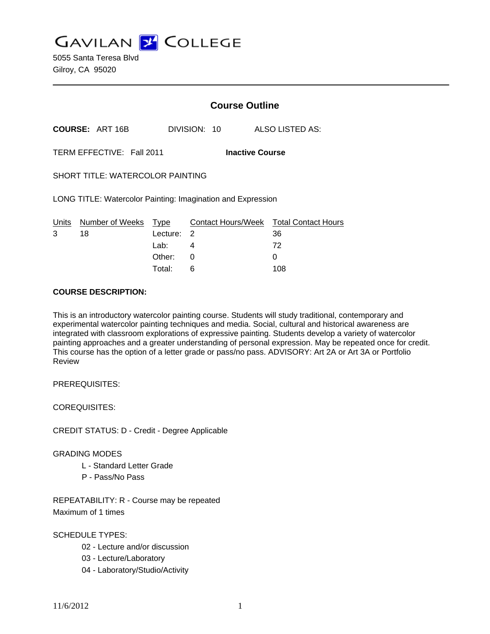**GAVILAN J COLLEGE** 

5055 Santa Teresa Blvd Gilroy, CA 95020

# **Course Outline**

**COURSE:** ART 16B DIVISION: 10 ALSO LISTED AS:

TERM EFFECTIVE: Fall 2011 **Inactive Course**

SHORT TITLE: WATERCOLOR PAINTING

LONG TITLE: Watercolor Painting: Imagination and Expression

|   | Units Number of Weeks Type |            | Contact Hours/Week Total Contact Hours |     |
|---|----------------------------|------------|----------------------------------------|-----|
| 3 | 18                         | Lecture: 2 |                                        | 36  |
|   |                            | Lab: 4     |                                        | 72  |
|   |                            | Other: 0   |                                        |     |
|   |                            | Total:     | - 6                                    | 108 |

## **COURSE DESCRIPTION:**

This is an introductory watercolor painting course. Students will study traditional, contemporary and experimental watercolor painting techniques and media. Social, cultural and historical awareness are integrated with classroom explorations of expressive painting. Students develop a variety of watercolor painting approaches and a greater understanding of personal expression. May be repeated once for credit. This course has the option of a letter grade or pass/no pass. ADVISORY: Art 2A or Art 3A or Portfolio Review

PREREQUISITES:

COREQUISITES:

CREDIT STATUS: D - Credit - Degree Applicable

#### GRADING MODES

- L Standard Letter Grade
- P Pass/No Pass

REPEATABILITY: R - Course may be repeated Maximum of 1 times

SCHEDULE TYPES:

- 02 Lecture and/or discussion
- 03 Lecture/Laboratory
- 04 Laboratory/Studio/Activity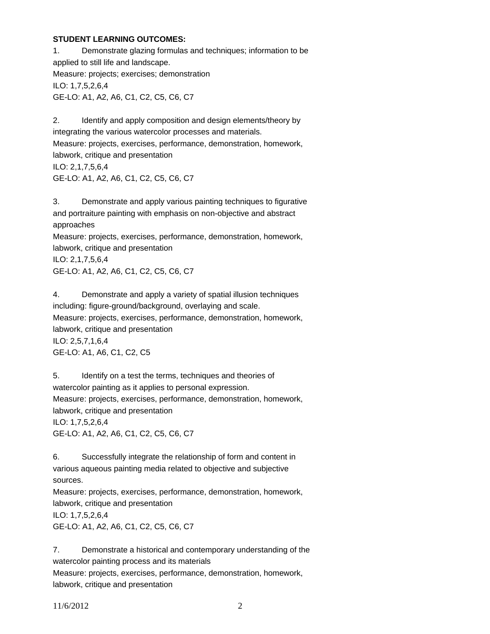## **STUDENT LEARNING OUTCOMES:**

1. Demonstrate glazing formulas and techniques; information to be applied to still life and landscape. Measure: projects; exercises; demonstration ILO: 1,7,5,2,6,4 GE-LO: A1, A2, A6, C1, C2, C5, C6, C7

2. Identify and apply composition and design elements/theory by integrating the various watercolor processes and materials. Measure: projects, exercises, performance, demonstration, homework, labwork, critique and presentation ILO: 2,1,7,5,6,4 GE-LO: A1, A2, A6, C1, C2, C5, C6, C7

3. Demonstrate and apply various painting techniques to figurative and portraiture painting with emphasis on non-objective and abstract approaches Measure: projects, exercises, performance, demonstration, homework, labwork, critique and presentation ILO: 2,1,7,5,6,4 GE-LO: A1, A2, A6, C1, C2, C5, C6, C7

4. Demonstrate and apply a variety of spatial illusion techniques including: figure-ground/background, overlaying and scale. Measure: projects, exercises, performance, demonstration, homework, labwork, critique and presentation ILO: 2,5,7,1,6,4 GE-LO: A1, A6, C1, C2, C5

5. Identify on a test the terms, techniques and theories of watercolor painting as it applies to personal expression. Measure: projects, exercises, performance, demonstration, homework, labwork, critique and presentation ILO: 1,7,5,2,6,4 GE-LO: A1, A2, A6, C1, C2, C5, C6, C7

6. Successfully integrate the relationship of form and content in various aqueous painting media related to objective and subjective sources.

Measure: projects, exercises, performance, demonstration, homework, labwork, critique and presentation

ILO: 1,7,5,2,6,4 GE-LO: A1, A2, A6, C1, C2, C5, C6, C7

7. Demonstrate a historical and contemporary understanding of the watercolor painting process and its materials Measure: projects, exercises, performance, demonstration, homework, labwork, critique and presentation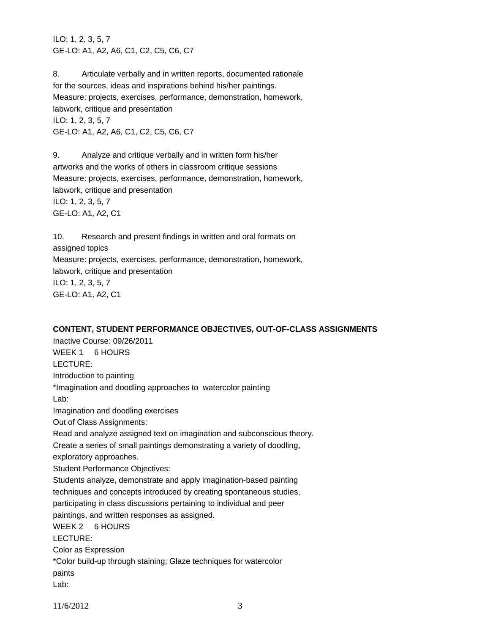ILO: 1, 2, 3, 5, 7 GE-LO: A1, A2, A6, C1, C2, C5, C6, C7

8. Articulate verbally and in written reports, documented rationale for the sources, ideas and inspirations behind his/her paintings. Measure: projects, exercises, performance, demonstration, homework, labwork, critique and presentation ILO: 1, 2, 3, 5, 7 GE-LO: A1, A2, A6, C1, C2, C5, C6, C7

9. Analyze and critique verbally and in written form his/her artworks and the works of others in classroom critique sessions Measure: projects, exercises, performance, demonstration, homework, labwork, critique and presentation ILO: 1, 2, 3, 5, 7 GE-LO: A1, A2, C1

10. Research and present findings in written and oral formats on assigned topics Measure: projects, exercises, performance, demonstration, homework, labwork, critique and presentation ILO: 1, 2, 3, 5, 7 GE-LO: A1, A2, C1

#### **CONTENT, STUDENT PERFORMANCE OBJECTIVES, OUT-OF-CLASS ASSIGNMENTS**

Inactive Course: 09/26/2011 WEEK 1 6 HOURS LECTURE: Introduction to painting \*Imagination and doodling approaches to watercolor painting Lab: Imagination and doodling exercises Out of Class Assignments: Read and analyze assigned text on imagination and subconscious theory. Create a series of small paintings demonstrating a variety of doodling, exploratory approaches. Student Performance Objectives: Students analyze, demonstrate and apply imagination-based painting techniques and concepts introduced by creating spontaneous studies, participating in class discussions pertaining to individual and peer paintings, and written responses as assigned. WEEK 2 6 HOURS LECTURE: Color as Expression \*Color build-up through staining; Glaze techniques for watercolor paints Lab:

11/6/2012 3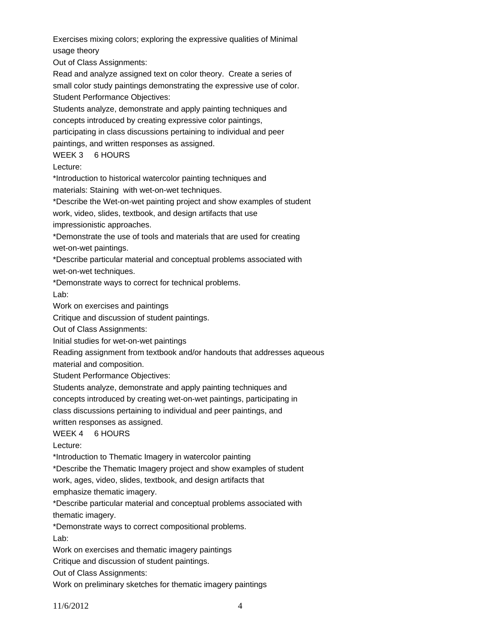Exercises mixing colors; exploring the expressive qualities of Minimal usage theory

Out of Class Assignments:

Read and analyze assigned text on color theory. Create a series of small color study paintings demonstrating the expressive use of color. Student Performance Objectives:

Students analyze, demonstrate and apply painting techniques and concepts introduced by creating expressive color paintings, participating in class discussions pertaining to individual and peer paintings, and written responses as assigned.

WEEK 3 6 HOURS

Lecture:

\*Introduction to historical watercolor painting techniques and

materials: Staining with wet-on-wet techniques.

\*Describe the Wet-on-wet painting project and show examples of student work, video, slides, textbook, and design artifacts that use impressionistic approaches.

\*Demonstrate the use of tools and materials that are used for creating wet-on-wet paintings.

\*Describe particular material and conceptual problems associated with wet-on-wet techniques.

\*Demonstrate ways to correct for technical problems. Lab:

Work on exercises and paintings

Critique and discussion of student paintings.

Out of Class Assignments:

Initial studies for wet-on-wet paintings

Reading assignment from textbook and/or handouts that addresses aqueous material and composition.

Student Performance Objectives:

Students analyze, demonstrate and apply painting techniques and

concepts introduced by creating wet-on-wet paintings, participating in

class discussions pertaining to individual and peer paintings, and

written responses as assigned.

WEEK 4 6 HOURS

Lecture:

\*Introduction to Thematic Imagery in watercolor painting

\*Describe the Thematic Imagery project and show examples of student

work, ages, video, slides, textbook, and design artifacts that

emphasize thematic imagery.

\*Describe particular material and conceptual problems associated with thematic imagery.

\*Demonstrate ways to correct compositional problems.

Lab:

Work on exercises and thematic imagery paintings

Critique and discussion of student paintings.

Out of Class Assignments:

Work on preliminary sketches for thematic imagery paintings

11/6/2012 4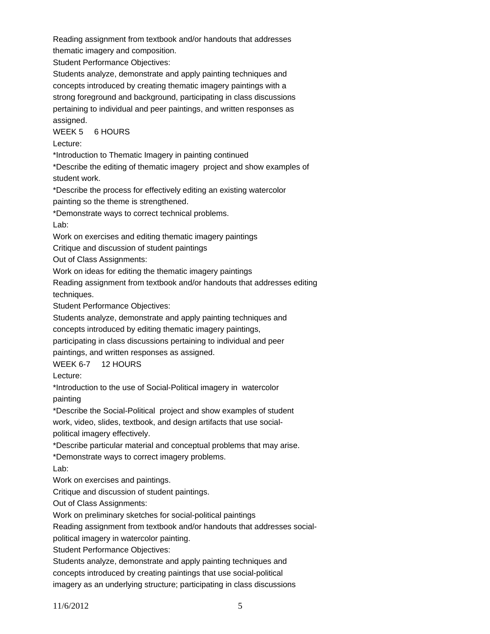Reading assignment from textbook and/or handouts that addresses thematic imagery and composition.

Student Performance Objectives:

Students analyze, demonstrate and apply painting techniques and concepts introduced by creating thematic imagery paintings with a strong foreground and background, participating in class discussions pertaining to individual and peer paintings, and written responses as assigned.

WEEK 5 6 HOURS

Lecture:

\*Introduction to Thematic Imagery in painting continued

\*Describe the editing of thematic imagery project and show examples of student work.

\*Describe the process for effectively editing an existing watercolor painting so the theme is strengthened.

\*Demonstrate ways to correct technical problems.

Lab:

Work on exercises and editing thematic imagery paintings

Critique and discussion of student paintings

Out of Class Assignments:

Work on ideas for editing the thematic imagery paintings

Reading assignment from textbook and/or handouts that addresses editing techniques.

Student Performance Objectives:

Students analyze, demonstrate and apply painting techniques and concepts introduced by editing thematic imagery paintings,

participating in class discussions pertaining to individual and peer

paintings, and written responses as assigned.

WEEK 6-7 12 HOURS

Lecture:

\*Introduction to the use of Social-Political imagery in watercolor painting

\*Describe the Social-Political project and show examples of student work, video, slides, textbook, and design artifacts that use socialpolitical imagery effectively.

\*Describe particular material and conceptual problems that may arise.

\*Demonstrate ways to correct imagery problems.

Lab:

Work on exercises and paintings.

Critique and discussion of student paintings.

Out of Class Assignments:

Work on preliminary sketches for social-political paintings

Reading assignment from textbook and/or handouts that addresses social-

political imagery in watercolor painting.

Student Performance Objectives:

Students analyze, demonstrate and apply painting techniques and concepts introduced by creating paintings that use social-political imagery as an underlying structure; participating in class discussions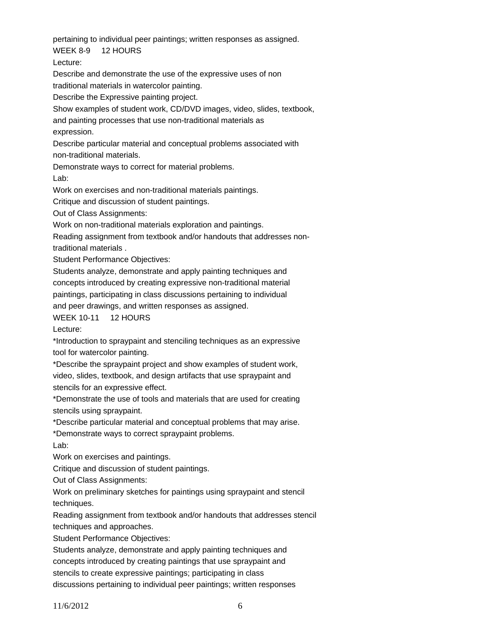pertaining to individual peer paintings; written responses as assigned.

WEEK 8-9 12 HOURS

Lecture:

Describe and demonstrate the use of the expressive uses of non

traditional materials in watercolor painting. Describe the Expressive painting project.

Show examples of student work, CD/DVD images, video, slides, textbook,

and painting processes that use non-traditional materials as

expression.

Describe particular material and conceptual problems associated with non-traditional materials.

Demonstrate ways to correct for material problems.

Lab:

Work on exercises and non-traditional materials paintings.

Critique and discussion of student paintings.

Out of Class Assignments:

Work on non-traditional materials exploration and paintings.

Reading assignment from textbook and/or handouts that addresses nontraditional materials .

Student Performance Objectives:

Students analyze, demonstrate and apply painting techniques and concepts introduced by creating expressive non-traditional material paintings, participating in class discussions pertaining to individual and peer drawings, and written responses as assigned.

WEEK 10-11 12 HOURS

Lecture:

\*Introduction to spraypaint and stenciling techniques as an expressive tool for watercolor painting.

\*Describe the spraypaint project and show examples of student work, video, slides, textbook, and design artifacts that use spraypaint and stencils for an expressive effect.

\*Demonstrate the use of tools and materials that are used for creating stencils using spraypaint.

\*Describe particular material and conceptual problems that may arise.

\*Demonstrate ways to correct spraypaint problems.

Lab:

Work on exercises and paintings.

Critique and discussion of student paintings.

Out of Class Assignments:

Work on preliminary sketches for paintings using spraypaint and stencil techniques.

Reading assignment from textbook and/or handouts that addresses stencil techniques and approaches.

Student Performance Objectives:

Students analyze, demonstrate and apply painting techniques and concepts introduced by creating paintings that use spraypaint and stencils to create expressive paintings; participating in class discussions pertaining to individual peer paintings; written responses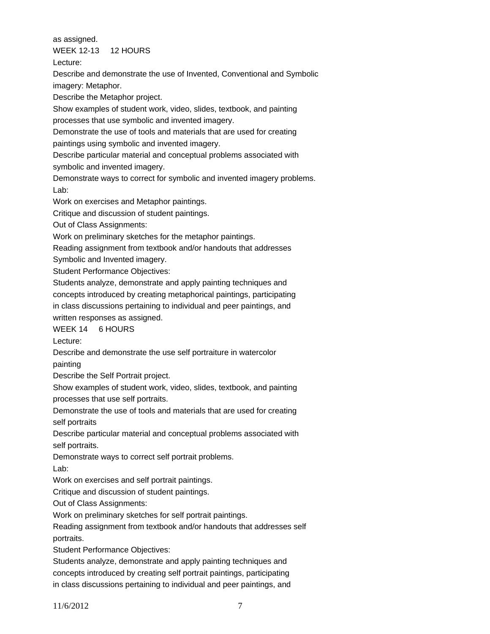as assigned.

WEEK 12-13 12 HOURS

Lecture:

Describe and demonstrate the use of Invented, Conventional and Symbolic imagery: Metaphor.

Describe the Metaphor project.

Show examples of student work, video, slides, textbook, and painting processes that use symbolic and invented imagery.

Demonstrate the use of tools and materials that are used for creating paintings using symbolic and invented imagery.

Describe particular material and conceptual problems associated with

symbolic and invented imagery.

Demonstrate ways to correct for symbolic and invented imagery problems. Lab:

Work on exercises and Metaphor paintings.

Critique and discussion of student paintings.

Out of Class Assignments:

Work on preliminary sketches for the metaphor paintings.

Reading assignment from textbook and/or handouts that addresses

Symbolic and Invented imagery.

Student Performance Objectives:

Students analyze, demonstrate and apply painting techniques and concepts introduced by creating metaphorical paintings, participating in class discussions pertaining to individual and peer paintings, and written responses as assigned.

WEEK 14 6 HOURS

Lecture:

Describe and demonstrate the use self portraiture in watercolor painting

Describe the Self Portrait project.

Show examples of student work, video, slides, textbook, and painting processes that use self portraits.

Demonstrate the use of tools and materials that are used for creating self portraits

Describe particular material and conceptual problems associated with self portraits.

Demonstrate ways to correct self portrait problems.

Lab:

Work on exercises and self portrait paintings.

Critique and discussion of student paintings.

Out of Class Assignments:

Work on preliminary sketches for self portrait paintings.

Reading assignment from textbook and/or handouts that addresses self portraits.

Student Performance Objectives:

Students analyze, demonstrate and apply painting techniques and concepts introduced by creating self portrait paintings, participating in class discussions pertaining to individual and peer paintings, and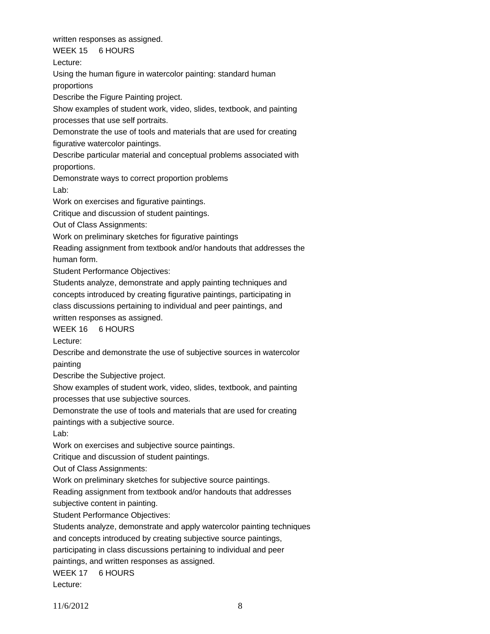written responses as assigned. WEEK 15 6 HOURS Lecture: Using the human figure in watercolor painting: standard human proportions Describe the Figure Painting project. Show examples of student work, video, slides, textbook, and painting processes that use self portraits. Demonstrate the use of tools and materials that are used for creating figurative watercolor paintings. Describe particular material and conceptual problems associated with proportions. Demonstrate ways to correct proportion problems Lab: Work on exercises and figurative paintings. Critique and discussion of student paintings. Out of Class Assignments: Work on preliminary sketches for figurative paintings Reading assignment from textbook and/or handouts that addresses the human form. Student Performance Objectives: Students analyze, demonstrate and apply painting techniques and concepts introduced by creating figurative paintings, participating in class discussions pertaining to individual and peer paintings, and written responses as assigned. WEEK 16 6 HOURS Lecture: Describe and demonstrate the use of subjective sources in watercolor painting Describe the Subjective project. Show examples of student work, video, slides, textbook, and painting processes that use subjective sources. Demonstrate the use of tools and materials that are used for creating paintings with a subjective source. Lab: Work on exercises and subjective source paintings. Critique and discussion of student paintings. Out of Class Assignments: Work on preliminary sketches for subjective source paintings. Reading assignment from textbook and/or handouts that addresses subjective content in painting. Student Performance Objectives: Students analyze, demonstrate and apply watercolor painting techniques and concepts introduced by creating subjective source paintings, participating in class discussions pertaining to individual and peer paintings, and written responses as assigned. WEEK 17 6 HOURS Lecture: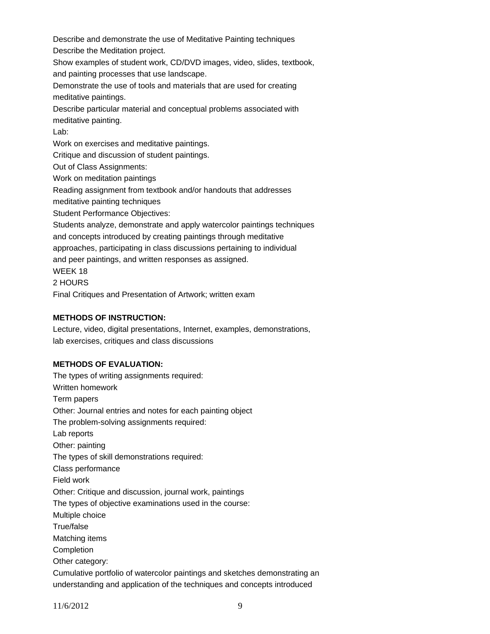Describe and demonstrate the use of Meditative Painting techniques Describe the Meditation project. Show examples of student work, CD/DVD images, video, slides, textbook, and painting processes that use landscape. Demonstrate the use of tools and materials that are used for creating meditative paintings. Describe particular material and conceptual problems associated with meditative painting. Lab: Work on exercises and meditative paintings. Critique and discussion of student paintings. Out of Class Assignments: Work on meditation paintings Reading assignment from textbook and/or handouts that addresses meditative painting techniques Student Performance Objectives: Students analyze, demonstrate and apply watercolor paintings techniques and concepts introduced by creating paintings through meditative approaches, participating in class discussions pertaining to individual and peer paintings, and written responses as assigned. WEEK 18 2 HOURS Final Critiques and Presentation of Artwork; written exam

#### **METHODS OF INSTRUCTION:**

Lecture, video, digital presentations, Internet, examples, demonstrations, lab exercises, critiques and class discussions

## **METHODS OF EVALUATION:**

The types of writing assignments required: Written homework Term papers Other: Journal entries and notes for each painting object The problem-solving assignments required: Lab reports Other: painting The types of skill demonstrations required: Class performance Field work Other: Critique and discussion, journal work, paintings The types of objective examinations used in the course: Multiple choice True/false Matching items Completion Other category: Cumulative portfolio of watercolor paintings and sketches demonstrating an understanding and application of the techniques and concepts introduced

11/6/2012 9